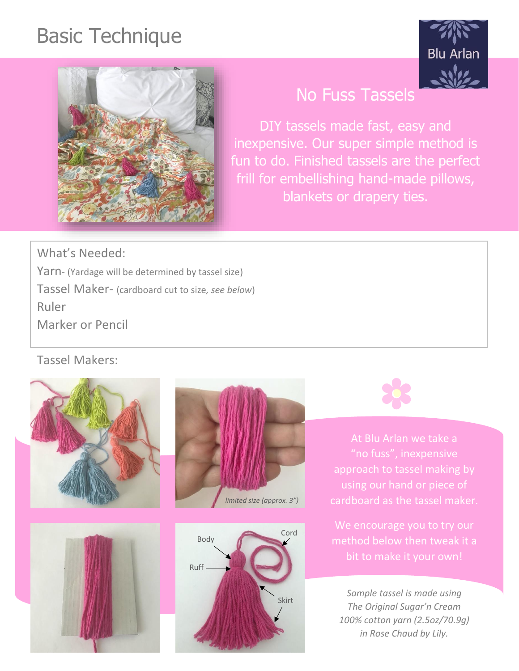## Basic Technique





## No Fuss Tassels

DIY tassels made fast, easy and inexpensive. Our super simple method is fun to do. Finished tassels are the perfect frill for embellishing hand-made pillows, blankets or drapery ties.

What's Needed: Yarn- (Yardage will be determined by tassel size) Tassel Maker- (cardboard cut to size*, see below*) Ruler Marker or Pencil

Tassel Makers:











At Blu Arlan we take a "no fuss", inexpensive approach to tassel making by cardboard as the tassel maker.

We encourage you to try our

*Sample tassel is made using The Original Sugar'n Cream 100% cotton yarn (2.5oz/70.9g) in Rose Chaud by Lily.*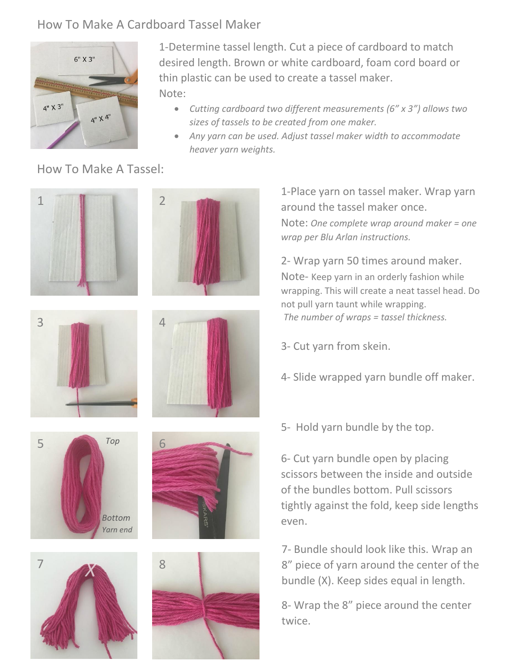## How To Make A Cardboard Tassel Maker



1-Determine tassel length. Cut a piece of cardboard to match desired length. Brown or white cardboard, foam cord board or thin plastic can be used to create a tassel maker. Note:

- *Cutting cardboard two different measurements (6" x 3") allows two sizes of tassels to be created from one maker.*
- *Any yarn can be used. Adjust tassel maker width to accommodate heaver yarn weights.*

## How To Make A Tassel:

















1-Place yarn on tassel maker. Wrap yarn Note: *One complete wrap around maker = one*

2- Wrap yarn 50 times around maker. Note- Keep yarn in an orderly fashion while wrapping. This will create a neat tassel head. Do not pull yarn taunt while wrapping. *The number of wraps = tassel thickness.*

- 3- Cut yarn from skein.
- 4- Slide wrapped yarn bundle off maker.
- 5- Hold yarn bundle by the top.

6- Cut yarn bundle open by placing scissors between the inside and outside of the bundles bottom. Pull scissors tightly against the fold, keep side lengths even.

7- Bundle should look like this. Wrap an 8" piece of yarn around the center of the bundle (X). Keep sides equal in length.

8- Wrap the 8" piece around the center twice.

around the tassel maker once. *wrap per Blu Arlan instructions.*